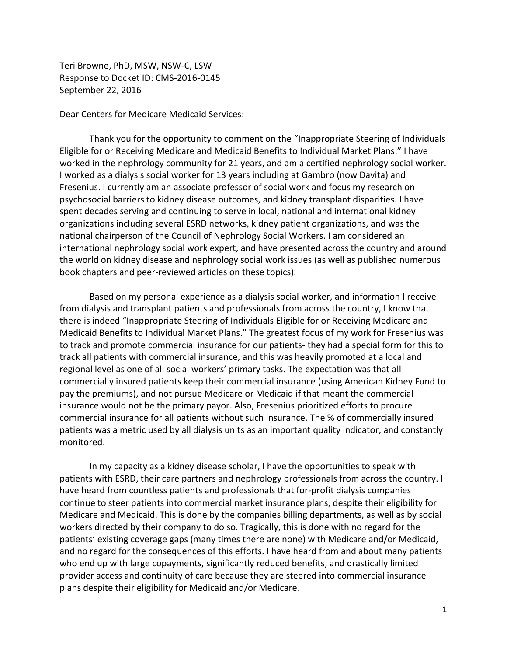Teri Browne, PhD, MSW, NSW-C, LSW Response to Docket ID: CMS-2016-0145 September 22, 2016

Dear Centers for Medicare Medicaid Services:

Thank you for the opportunity to comment on the "Inappropriate Steering of Individuals Eligible for or Receiving Medicare and Medicaid Benefits to Individual Market Plans." I have worked in the nephrology community for 21 years, and am a certified nephrology social worker. I worked as a dialysis social worker for 13 years including at Gambro (now Davita) and Fresenius. I currently am an associate professor of social work and focus my research on psychosocial barriers to kidney disease outcomes, and kidney transplant disparities. I have spent decades serving and continuing to serve in local, national and international kidney organizations including several ESRD networks, kidney patient organizations, and was the national chairperson of the Council of Nephrology Social Workers. I am considered an international nephrology social work expert, and have presented across the country and around the world on kidney disease and nephrology social work issues (as well as published numerous book chapters and peer-reviewed articles on these topics).

Based on my personal experience as a dialysis social worker, and information I receive from dialysis and transplant patients and professionals from across the country, I know that there is indeed "Inappropriate Steering of Individuals Eligible for or Receiving Medicare and Medicaid Benefits to Individual Market Plans." The greatest focus of my work for Fresenius was to track and promote commercial insurance for our patients- they had a special form for this to track all patients with commercial insurance, and this was heavily promoted at a local and regional level as one of all social workers' primary tasks. The expectation was that all commercially insured patients keep their commercial insurance (using American Kidney Fund to pay the premiums), and not pursue Medicare or Medicaid if that meant the commercial insurance would not be the primary payor. Also, Fresenius prioritized efforts to procure commercial insurance for all patients without such insurance. The % of commercially insured patients was a metric used by all dialysis units as an important quality indicator, and constantly monitored.

In my capacity as a kidney disease scholar, I have the opportunities to speak with patients with ESRD, their care partners and nephrology professionals from across the country. I have heard from countless patients and professionals that for-profit dialysis companies continue to steer patients into commercial market insurance plans, despite their eligibility for Medicare and Medicaid. This is done by the companies billing departments, as well as by social workers directed by their company to do so. Tragically, this is done with no regard for the patients' existing coverage gaps (many times there are none) with Medicare and/or Medicaid, and no regard for the consequences of this efforts. I have heard from and about many patients who end up with large copayments, significantly reduced benefits, and drastically limited provider access and continuity of care because they are steered into commercial insurance plans despite their eligibility for Medicaid and/or Medicare.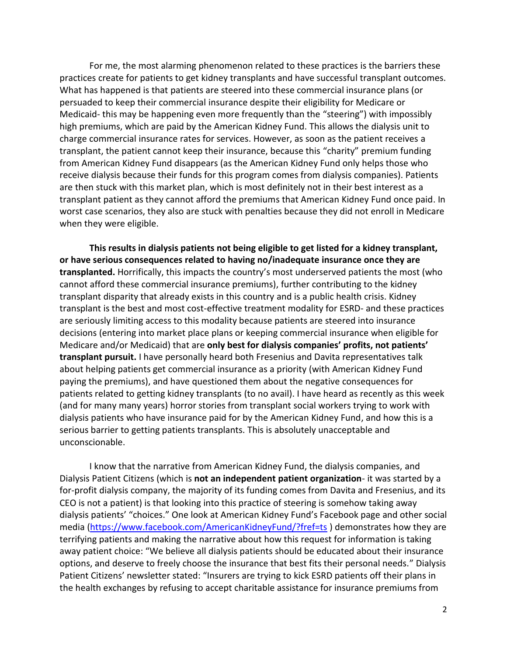For me, the most alarming phenomenon related to these practices is the barriers these practices create for patients to get kidney transplants and have successful transplant outcomes. What has happened is that patients are steered into these commercial insurance plans (or persuaded to keep their commercial insurance despite their eligibility for Medicare or Medicaid- this may be happening even more frequently than the "steering") with impossibly high premiums, which are paid by the American Kidney Fund. This allows the dialysis unit to charge commercial insurance rates for services. However, as soon as the patient receives a transplant, the patient cannot keep their insurance, because this "charity" premium funding from American Kidney Fund disappears (as the American Kidney Fund only helps those who receive dialysis because their funds for this program comes from dialysis companies). Patients are then stuck with this market plan, which is most definitely not in their best interest as a transplant patient as they cannot afford the premiums that American Kidney Fund once paid. In worst case scenarios, they also are stuck with penalties because they did not enroll in Medicare when they were eligible.

**This results in dialysis patients not being eligible to get listed for a kidney transplant, or have serious consequences related to having no/inadequate insurance once they are transplanted.** Horrifically, this impacts the country's most underserved patients the most (who cannot afford these commercial insurance premiums), further contributing to the kidney transplant disparity that already exists in this country and is a public health crisis. Kidney transplant is the best and most cost-effective treatment modality for ESRD- and these practices are seriously limiting access to this modality because patients are steered into insurance decisions (entering into market place plans or keeping commercial insurance when eligible for Medicare and/or Medicaid) that are **only best for dialysis companies' profits, not patients' transplant pursuit.** I have personally heard both Fresenius and Davita representatives talk about helping patients get commercial insurance as a priority (with American Kidney Fund paying the premiums), and have questioned them about the negative consequences for patients related to getting kidney transplants (to no avail). I have heard as recently as this week (and for many many years) horror stories from transplant social workers trying to work with dialysis patients who have insurance paid for by the American Kidney Fund, and how this is a serious barrier to getting patients transplants. This is absolutely unacceptable and unconscionable.

I know that the narrative from American Kidney Fund, the dialysis companies, and Dialysis Patient Citizens (which is **not an independent patient organization**- it was started by a for-profit dialysis company, the majority of its funding comes from Davita and Fresenius, and its CEO is not a patient) is that looking into this practice of steering is somehow taking away dialysis patients' "choices." One look at American Kidney Fund's Facebook page and other social media [\(https://www.facebook.com/AmericanKidneyFund/?fref=ts](https://www.facebook.com/AmericanKidneyFund/?fref=ts)) demonstrates how they are terrifying patients and making the narrative about how this request for information is taking away patient choice: "We believe all dialysis patients should be educated about their insurance options, and deserve to freely choose the insurance that best fits their personal needs." Dialysis Patient Citizens' newsletter stated: "Insurers are trying to kick ESRD patients off their plans in the health exchanges by refusing to accept charitable assistance for insurance premiums from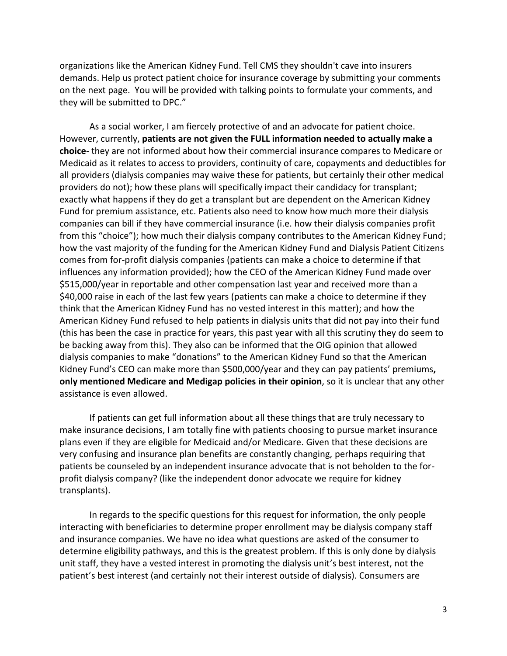organizations like the American Kidney Fund. Tell CMS they shouldn't cave into insurers demands. Help us protect patient choice for insurance coverage by submitting your comments on the next page. You will be provided with talking points to formulate your comments, and they will be submitted to DPC."

As a social worker, I am fiercely protective of and an advocate for patient choice. However, currently, **patients are not given the FULL information needed to actually make a choice**- they are not informed about how their commercial insurance compares to Medicare or Medicaid as it relates to access to providers, continuity of care, copayments and deductibles for all providers (dialysis companies may waive these for patients, but certainly their other medical providers do not); how these plans will specifically impact their candidacy for transplant; exactly what happens if they do get a transplant but are dependent on the American Kidney Fund for premium assistance, etc. Patients also need to know how much more their dialysis companies can bill if they have commercial insurance (i.e. how their dialysis companies profit from this "choice"); how much their dialysis company contributes to the American Kidney Fund; how the vast majority of the funding for the American Kidney Fund and Dialysis Patient Citizens comes from for-profit dialysis companies (patients can make a choice to determine if that influences any information provided); how the CEO of the American Kidney Fund made over \$515,000/year in reportable and other compensation last year and received more than a \$40,000 raise in each of the last few years (patients can make a choice to determine if they think that the American Kidney Fund has no vested interest in this matter); and how the American Kidney Fund refused to help patients in dialysis units that did not pay into their fund (this has been the case in practice for years, this past year with all this scrutiny they do seem to be backing away from this). They also can be informed that the OIG opinion that allowed dialysis companies to make "donations" to the American Kidney Fund so that the American Kidney Fund's CEO can make more than \$500,000/year and they can pay patients' premiums**, only mentioned Medicare and Medigap policies in their opinion**, so it is unclear that any other assistance is even allowed.

If patients can get full information about all these things that are truly necessary to make insurance decisions, I am totally fine with patients choosing to pursue market insurance plans even if they are eligible for Medicaid and/or Medicare. Given that these decisions are very confusing and insurance plan benefits are constantly changing, perhaps requiring that patients be counseled by an independent insurance advocate that is not beholden to the forprofit dialysis company? (like the independent donor advocate we require for kidney transplants).

In regards to the specific questions for this request for information, the only people interacting with beneficiaries to determine proper enrollment may be dialysis company staff and insurance companies. We have no idea what questions are asked of the consumer to determine eligibility pathways, and this is the greatest problem. If this is only done by dialysis unit staff, they have a vested interest in promoting the dialysis unit's best interest, not the patient's best interest (and certainly not their interest outside of dialysis). Consumers are